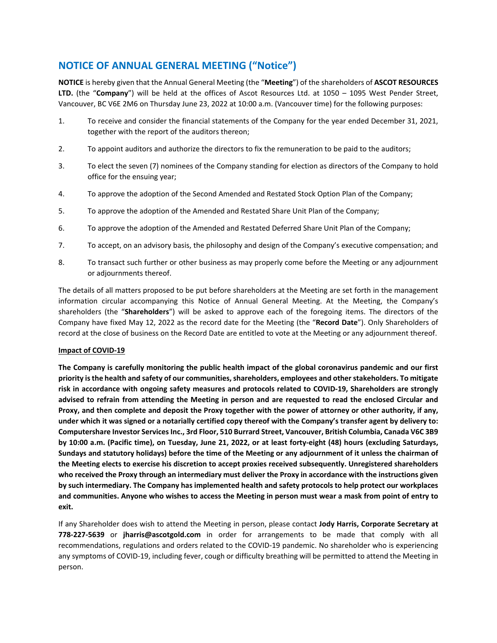## **NOTICE OF ANNUAL GENERAL MEETING ("Notice")**

**NOTICE** is hereby given that the Annual General Meeting (the "**Meeting**") of the shareholders of **ASCOT RESOURCES LTD.** (the "**Company**") will be held at the offices of Ascot Resources Ltd. at 1050 – 1095 West Pender Street, Vancouver, BC V6E 2M6 on Thursday June 23, 2022 at 10:00 a.m. (Vancouver time) for the following purposes:

- 1. To receive and consider the financial statements of the Company for the year ended December 31, 2021, together with the report of the auditors thereon;
- 2. To appoint auditors and authorize the directors to fix the remuneration to be paid to the auditors;
- 3. To elect the seven (7) nominees of the Company standing for election as directors of the Company to hold office for the ensuing year;
- 4. To approve the adoption of the Second Amended and Restated Stock Option Plan of the Company;
- 5. To approve the adoption of the Amended and Restated Share Unit Plan of the Company;
- 6. To approve the adoption of the Amended and Restated Deferred Share Unit Plan of the Company;
- 7. To accept, on an advisory basis, the philosophy and design of the Company's executive compensation; and
- 8. To transact such further or other business as may properly come before the Meeting or any adjournment or adjournments thereof.

The details of all matters proposed to be put before shareholders at the Meeting are set forth in the management information circular accompanying this Notice of Annual General Meeting. At the Meeting, the Company's shareholders (the "**Shareholders**") will be asked to approve each of the foregoing items. The directors of the Company have fixed May 12, 2022 as the record date for the Meeting (the "**Record Date**"). Only Shareholders of record at the close of business on the Record Date are entitled to vote at the Meeting or any adjournment thereof.

## **Impact of COVID‐19**

The Company is carefully monitoring the public health impact of the global coronavirus pandemic and our first **priority isthe health and safety of our communities,shareholders, employees and otherstakeholders. To mitigate** risk in accordance with ongoing safety measures and protocols related to COVID-19, Shareholders are strongly advised to refrain from attending the Meeting in person and are requested to read the enclosed Circular and Proxy, and then complete and deposit the Proxy together with the power of attorney or other authority, if any, under which it was signed or a notarially certified copy thereof with the Company's transfer agent by delivery to: **Computershare Investor ServicesInc., 3rd Floor, 510 Burrard Street, Vancouver, British Columbia, Canada V6C 3B9** by 10:00 a.m. (Pacific time), on Tuesday, June 21, 2022, or at least forty-eight (48) hours (excluding Saturdays, Sundays and statutory holidays) before the time of the Meeting or any adjournment of it unless the chairman of **the Meeting elects to exercise his discretion to accept proxies received subsequently. Unregistered shareholders** who received the Proxy through an intermediary must deliver the Proxy in accordance with the instructions given **by such intermediary. The Company has implemented health and safety protocols to help protect our workplaces** and communities. Anyone who wishes to access the Meeting in person must wear a mask from point of entry to **exit.** 

If any Shareholder does wish to attend the Meeting in person, please contact **Jody Harris, Corporate Secretary at 778‐227‐5639** or **jharris@ascotgold.com** in order for arrangements to be made that comply with all recommendations, regulations and orders related to the COVID‐19 pandemic. No shareholder who is experiencing any symptoms of COVID‐19, including fever, cough or difficulty breathing will be permitted to attend the Meeting in person.